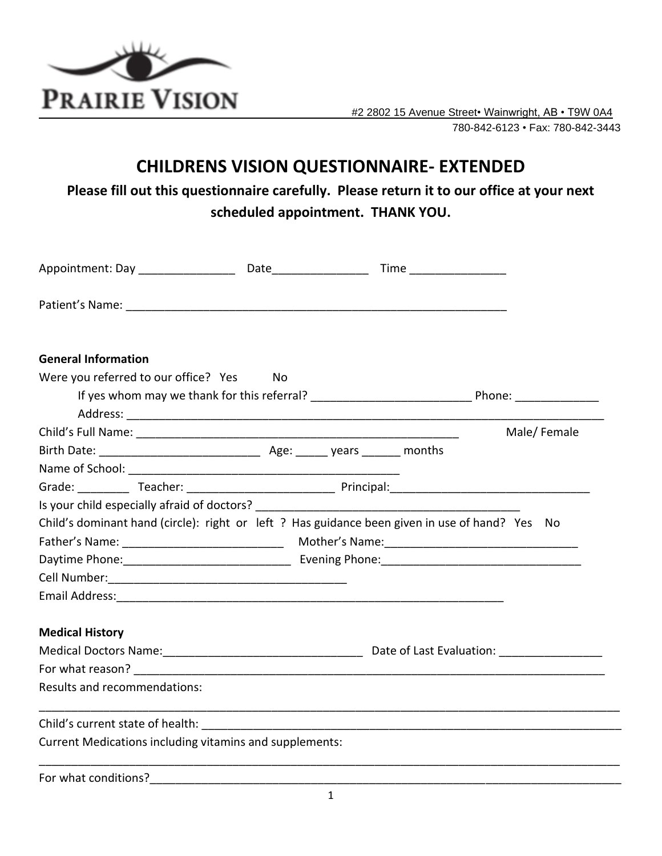

 #2 2802 15 Avenue Street• Wainwright, AB • T9W 0A4 780-842-6123 • Fax: 780-842-3443

## **CHILDRENS VISION QUESTIONNAIRE- EXTENDED**

**Please fill out this questionnaire carefully. Please return it to our office at your next scheduled appointment. THANK YOU.**

| <b>General Information</b>                                                                                     |  |             |
|----------------------------------------------------------------------------------------------------------------|--|-------------|
| Were you referred to our office? Yes No                                                                        |  |             |
|                                                                                                                |  |             |
|                                                                                                                |  |             |
|                                                                                                                |  | Male/Female |
|                                                                                                                |  |             |
|                                                                                                                |  |             |
| Grade: ____________ Teacher: __________________________________ Principal: ___________________________________ |  |             |
| Is your child especially afraid of doctors?                                                                    |  |             |
| Child's dominant hand (circle): right or left ? Has guidance been given in use of hand? Yes No                 |  |             |
|                                                                                                                |  |             |
|                                                                                                                |  |             |
|                                                                                                                |  |             |
|                                                                                                                |  |             |
| <b>Medical History</b>                                                                                         |  |             |
|                                                                                                                |  |             |
|                                                                                                                |  |             |
| Results and recommendations:                                                                                   |  |             |
|                                                                                                                |  |             |
| Current Medications including vitamins and supplements:                                                        |  |             |
|                                                                                                                |  |             |

For what conditions?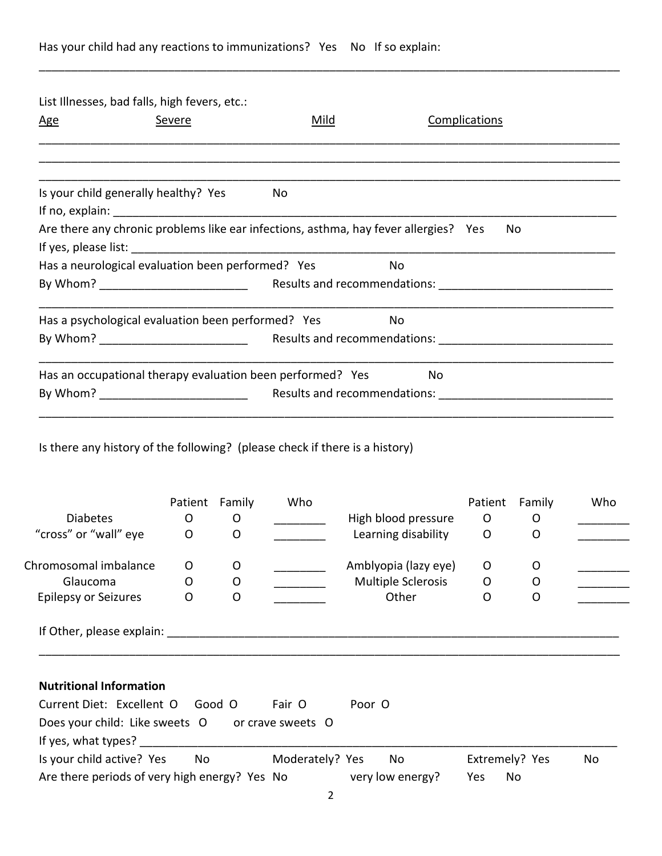## Has your child had any reactions to immunizations? Yes No If so explain:

List Illnesses, bad falls, high fevers, etc.:

|                                                            | Severe         |        | <u>Mild</u>     |                                                                                      | Complications |        |     |
|------------------------------------------------------------|----------------|--------|-----------------|--------------------------------------------------------------------------------------|---------------|--------|-----|
|                                                            |                |        |                 |                                                                                      |               |        |     |
| Is your child generally healthy? Yes                       |                |        | No              |                                                                                      |               |        |     |
|                                                            |                |        |                 | Are there any chronic problems like ear infections, asthma, hay fever allergies? Yes |               | No     |     |
|                                                            |                |        |                 |                                                                                      |               |        |     |
| Has a neurological evaluation been performed? Yes          |                |        |                 | No                                                                                   |               |        |     |
|                                                            |                |        |                 |                                                                                      |               |        |     |
|                                                            |                |        |                 |                                                                                      |               |        |     |
| Has a psychological evaluation been performed? Yes         |                |        |                 | No                                                                                   |               |        |     |
|                                                            |                |        |                 |                                                                                      |               |        |     |
|                                                            |                |        |                 |                                                                                      |               |        |     |
| Has an occupational therapy evaluation been performed? Yes |                |        |                 | No                                                                                   |               |        |     |
|                                                            |                |        |                 |                                                                                      |               |        |     |
|                                                            |                |        |                 |                                                                                      |               |        |     |
|                                                            |                |        |                 |                                                                                      |               |        |     |
|                                                            | Patient Family |        | Who             |                                                                                      | Patient       | Family |     |
| <b>Diabetes</b>                                            | 0              | O      |                 | High blood pressure                                                                  | $\circ$       | O      |     |
| "cross" or "wall" eye                                      | $\mathsf{O}$   | O      |                 | Learning disability                                                                  | 0             | 0      |     |
| Chromosomal imbalance                                      | O              | O      |                 |                                                                                      | O             | O      | Who |
| Glaucoma                                                   | O              | O      |                 | Amblyopia (lazy eye)<br><b>Multiple Sclerosis</b>                                    | O             | O      |     |
| <b>Epilepsy or Seizures</b>                                | O              | O      |                 | Other                                                                                | O             | O      |     |
|                                                            |                |        |                 |                                                                                      |               |        |     |
|                                                            |                |        |                 |                                                                                      |               |        |     |
| <b>Nutritional Information</b>                             |                |        |                 |                                                                                      |               |        |     |
| Current Diet: Excellent O                                  |                | Good O | Fair O          | Poor O                                                                               |               |        |     |
| Does your child: Like sweets O or crave sweets O           |                |        |                 |                                                                                      |               |        |     |
|                                                            |                |        | Moderately? Yes |                                                                                      |               |        |     |

\_\_\_\_\_\_\_\_\_\_\_\_\_\_\_\_\_\_\_\_\_\_\_\_\_\_\_\_\_\_\_\_\_\_\_\_\_\_\_\_\_\_\_\_\_\_\_\_\_\_\_\_\_\_\_\_\_\_\_\_\_\_\_\_\_\_\_\_\_\_\_\_\_\_\_\_\_\_\_\_\_\_\_\_\_\_\_\_\_\_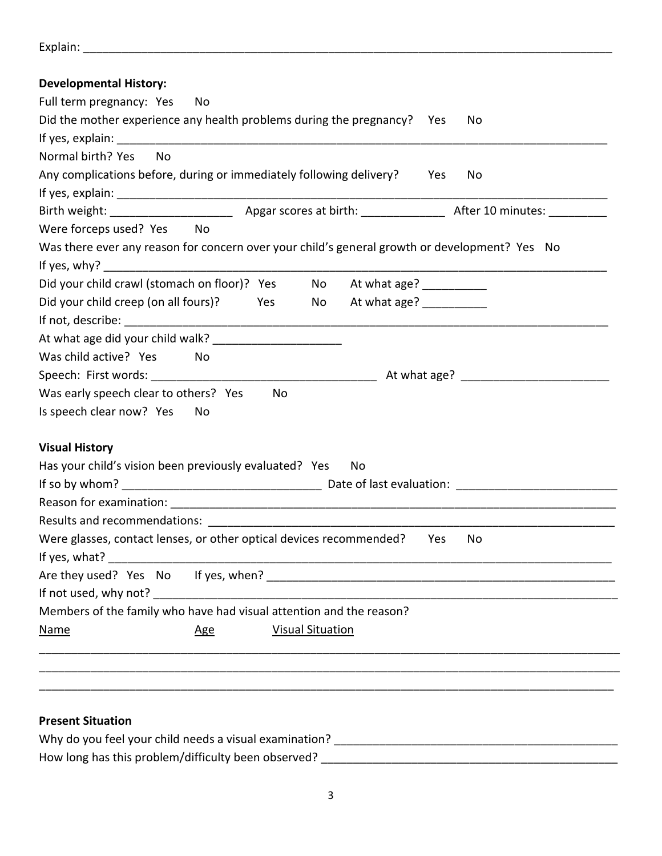| Explain: |
|----------|
|----------|

| <b>Developmental History:</b> |  |
|-------------------------------|--|
|-------------------------------|--|

| Full term pregnancy: Yes<br>- No<br>Did the mother experience any health problems during the pregnancy?    Yes<br>No |  |
|----------------------------------------------------------------------------------------------------------------------|--|
| Normal birth? Yes<br><b>No</b>                                                                                       |  |
| Any complications before, during or immediately following delivery?<br>Yes<br>No.                                    |  |
|                                                                                                                      |  |
|                                                                                                                      |  |
| Were forceps used? Yes No                                                                                            |  |
| Was there ever any reason for concern over your child's general growth or development? Yes No                        |  |
|                                                                                                                      |  |
| Did your child crawl (stomach on floor)? Yes No At what age? __________                                              |  |
| Did your child creep (on all fours)?<br>At what age? ___________<br><b>Preserve and Preserve</b><br>No               |  |
|                                                                                                                      |  |
|                                                                                                                      |  |
| Was child active? Yes No                                                                                             |  |
|                                                                                                                      |  |
| Was early speech clear to others? Yes<br>No                                                                          |  |
| Is speech clear now? Yes No                                                                                          |  |
|                                                                                                                      |  |
| <b>Visual History</b>                                                                                                |  |
| Has your child's vision been previously evaluated? Yes<br>No                                                         |  |
|                                                                                                                      |  |
|                                                                                                                      |  |
|                                                                                                                      |  |
| Were glasses, contact lenses, or other optical devices recommended?<br>Yes<br>No                                     |  |
|                                                                                                                      |  |
| If not used, why not?                                                                                                |  |
| Members of the family who have had visual attention and the reason?                                                  |  |
| <b>Visual Situation</b><br><b>Name</b>                                                                               |  |
| <u>Age</u>                                                                                                           |  |
|                                                                                                                      |  |
|                                                                                                                      |  |

## **Present Situation**

| Why do you feel your child needs a visual examination? |  |
|--------------------------------------------------------|--|
| How long has this problem/difficulty been observed?    |  |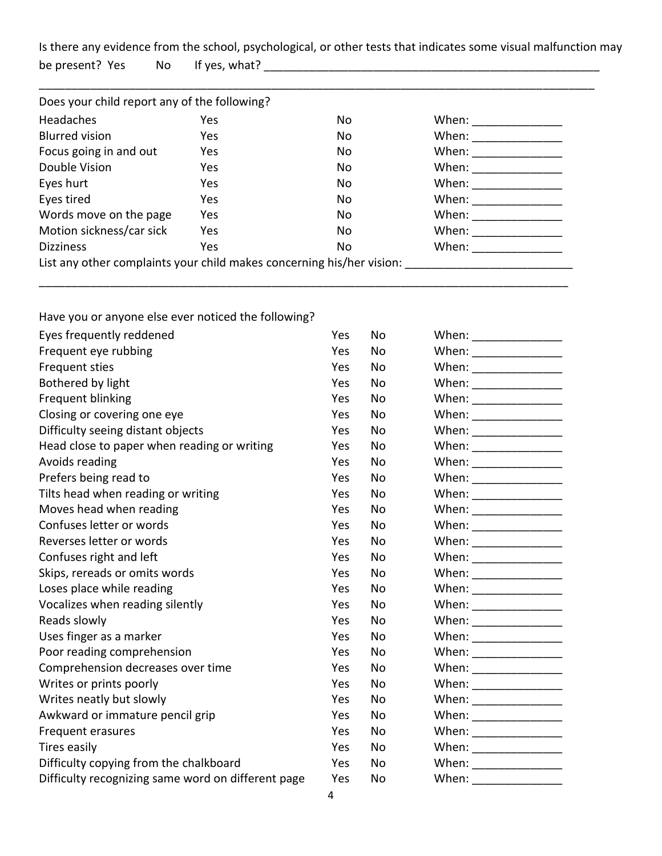Is there any evidence from the school, psychological, or other tests that indicates some visual malfunction may be present? Yes No If yes, what? \_\_\_\_\_\_\_\_\_\_\_\_\_\_\_\_\_\_\_\_\_\_\_\_\_\_\_\_\_\_\_\_\_\_\_\_\_\_\_\_\_\_\_\_\_\_\_\_\_\_\_\_

| Yes | No.                                          | When:                                                                                                                                                                                                                                                                                                                                                                                                                         |  |
|-----|----------------------------------------------|-------------------------------------------------------------------------------------------------------------------------------------------------------------------------------------------------------------------------------------------------------------------------------------------------------------------------------------------------------------------------------------------------------------------------------|--|
| Yes | No                                           | When:                                                                                                                                                                                                                                                                                                                                                                                                                         |  |
| Yes | No.                                          | When:                                                                                                                                                                                                                                                                                                                                                                                                                         |  |
| Yes | No                                           | When: $\frac{1}{\sqrt{1-\frac{1}{\sqrt{1-\frac{1}{\sqrt{1-\frac{1}{\sqrt{1-\frac{1}{\sqrt{1-\frac{1}{\sqrt{1-\frac{1}{\sqrt{1-\frac{1}{\sqrt{1-\frac{1}{\sqrt{1-\frac{1}{\sqrt{1-\frac{1}{\sqrt{1-\frac{1}{\sqrt{1-\frac{1}{\sqrt{1-\frac{1}{\sqrt{1-\frac{1}{\sqrt{1-\frac{1}{\sqrt{1-\frac{1}{\sqrt{1-\frac{1}{\sqrt{1-\frac{1}{\sqrt{1-\frac{1}{\sqrt{1-\frac{1}{\sqrt{1-\frac{1}{\sqrt{1-\frac{1}{\sqrt{1-\frac{1}{\sqrt$ |  |
| Yes | No                                           | When: $\frac{1}{\sqrt{1-\frac{1}{2}}\cdot\frac{1}{\sqrt{1-\frac{1}{2}}}}$                                                                                                                                                                                                                                                                                                                                                     |  |
| Yes | No                                           | When: $\frac{1}{\sqrt{1-\frac{1}{2}}\cdot\frac{1}{\sqrt{1-\frac{1}{2}}}}$                                                                                                                                                                                                                                                                                                                                                     |  |
| Yes | No                                           | When: $\frac{1}{\sqrt{1-\frac{1}{2}}\cdot\frac{1}{\sqrt{1-\frac{1}{2}}}}$                                                                                                                                                                                                                                                                                                                                                     |  |
| Yes | No.                                          | When: $\frac{1}{\sqrt{1-\frac{1}{2}}\cdot\frac{1}{\sqrt{1-\frac{1}{2}}}}$                                                                                                                                                                                                                                                                                                                                                     |  |
| Yes | No                                           | When: $\frac{1}{\sqrt{1-\frac{1}{2}}\sqrt{1-\frac{1}{2}}\sqrt{1-\frac{1}{2}}\sqrt{1-\frac{1}{2}}\sqrt{1-\frac{1}{2}}$                                                                                                                                                                                                                                                                                                         |  |
|     | Does your child report any of the following? |                                                                                                                                                                                                                                                                                                                                                                                                                               |  |

\_\_\_\_\_\_\_\_\_\_\_\_\_\_\_\_\_\_\_\_\_\_\_\_\_\_\_\_\_\_\_\_\_\_\_\_\_\_\_\_\_\_\_\_\_\_\_\_\_\_\_\_\_\_\_\_\_\_\_\_\_\_\_\_\_\_\_\_\_\_\_\_\_\_\_\_\_\_\_\_\_\_

|  | Have you or anyone else ever noticed the following? |
|--|-----------------------------------------------------|
|--|-----------------------------------------------------|

| Eyes frequently reddened                           | Yes | <b>No</b> | When: __________________ |
|----------------------------------------------------|-----|-----------|--------------------------|
| Frequent eye rubbing                               | Yes | No.       |                          |
| Frequent sties                                     | Yes | No.       |                          |
| Bothered by light                                  | Yes | No        |                          |
| Frequent blinking                                  | Yes | No        |                          |
| Closing or covering one eye                        | Yes | No.       |                          |
| Difficulty seeing distant objects                  | Yes | No.       | When: __________________ |
| Head close to paper when reading or writing        | Yes | No        |                          |
| Avoids reading                                     | Yes | No        |                          |
| Prefers being read to                              | Yes | No.       |                          |
| Tilts head when reading or writing                 | Yes | <b>No</b> |                          |
| Moves head when reading                            | Yes | No        | When: _________________  |
| Confuses letter or words                           | Yes | No        |                          |
| Reverses letter or words                           | Yes | No.       | When: __________________ |
| Confuses right and left                            | Yes | <b>No</b> |                          |
| Skips, rereads or omits words                      | Yes | No        |                          |
| Loses place while reading                          | Yes | No.       |                          |
| Vocalizes when reading silently                    | Yes | <b>No</b> |                          |
| Reads slowly                                       | Yes | <b>No</b> | When: _________________  |
| Uses finger as a marker                            | Yes | <b>No</b> |                          |
| Poor reading comprehension                         | Yes | <b>No</b> |                          |
| Comprehension decreases over time                  | Yes | <b>No</b> | When: _________________  |
| Writes or prints poorly                            | Yes | No.       | When: _________________  |
| Writes neatly but slowly                           | Yes | No.       |                          |
| Awkward or immature pencil grip                    | Yes | No.       |                          |
| Frequent erasures                                  | Yes | No        | When: _________________  |
| Tires easily                                       | Yes | No        |                          |
| Difficulty copying from the chalkboard             | Yes | No        | When: __________________ |
| Difficulty recognizing same word on different page | Yes | No        |                          |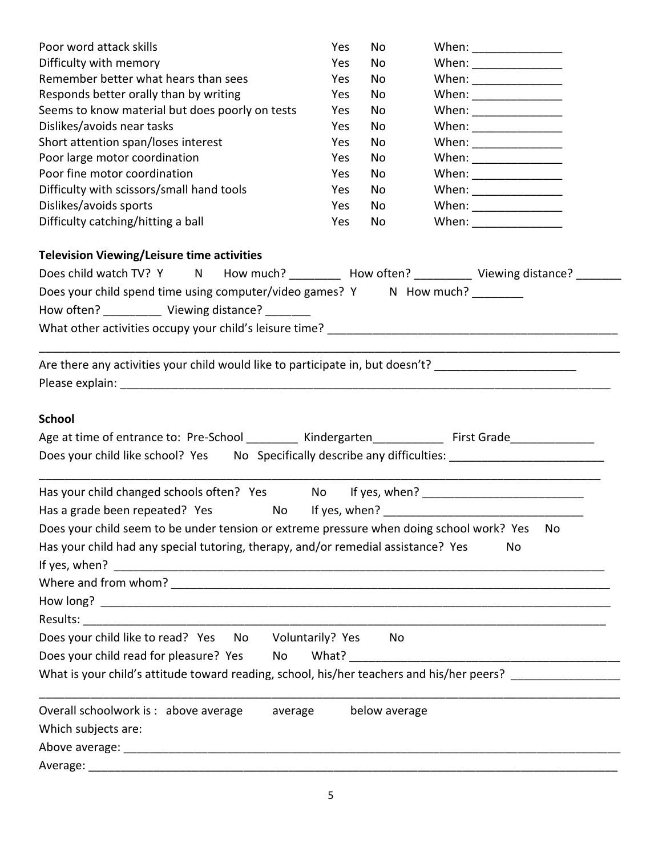| Poor word attack skills                                                                                                     | Yes | No            |                         |     |
|-----------------------------------------------------------------------------------------------------------------------------|-----|---------------|-------------------------|-----|
| Difficulty with memory                                                                                                      | Yes | No            |                         |     |
| Remember better what hears than sees                                                                                        | Yes | No            |                         |     |
| Responds better orally than by writing                                                                                      | Yes | No            | When: _________________ |     |
| Seems to know material but does poorly on tests                                                                             | Yes | No            | When: ________________  |     |
| Dislikes/avoids near tasks                                                                                                  | Yes | No            |                         |     |
| Short attention span/loses interest                                                                                         | Yes | No            |                         |     |
| Poor large motor coordination                                                                                               | Yes | No            |                         |     |
| Poor fine motor coordination                                                                                                | Yes | No            |                         |     |
| Difficulty with scissors/small hand tools                                                                                   | Yes | No            |                         |     |
| Dislikes/avoids sports                                                                                                      | Yes | No            | When: _________________ |     |
| Difficulty catching/hitting a ball                                                                                          | Yes | No            | When: _________________ |     |
| <b>Television Viewing/Leisure time activities</b>                                                                           |     |               |                         |     |
| Does child watch TV? Y N How much? ________ How often? ________ Viewing distance? ______                                    |     |               |                         |     |
| Does your child spend time using computer/video games? Y N How much? ________                                               |     |               |                         |     |
| How often? Viewing distance?                                                                                                |     |               |                         |     |
|                                                                                                                             |     |               |                         |     |
|                                                                                                                             |     |               |                         |     |
| Are there any activities your child would like to participate in, but doesn't? _____________________                        |     |               |                         |     |
|                                                                                                                             |     |               |                         |     |
|                                                                                                                             |     |               |                         |     |
| <b>School</b>                                                                                                               |     |               |                         |     |
|                                                                                                                             |     |               |                         |     |
| Age at time of entrance to: Pre-School ________ Kindergarten __________ First Grade _____________                           |     |               |                         |     |
| Does your child like school? Yes No Specifically describe any difficulties: 1000000000000000000000000000000000              |     |               |                         |     |
| Has your child changed schools often? Yes Mo If yes, when? _____________________                                            |     |               |                         |     |
| Has a grade been repeated? Yes<br>No l                                                                                      |     |               |                         |     |
|                                                                                                                             |     |               |                         |     |
| Does your child seem to be under tension or extreme pressure when doing school work? Yes                                    |     |               |                         | No. |
| Has your child had any special tutoring, therapy, and/or remedial assistance? Yes<br>If yes, when? $\overline{\phantom{a}}$ |     |               | No                      |     |
|                                                                                                                             |     |               |                         |     |
|                                                                                                                             |     |               |                         |     |
|                                                                                                                             |     |               |                         |     |
|                                                                                                                             |     |               |                         |     |
| Does your child like to read? Yes No Voluntarily? Yes No                                                                    |     |               |                         |     |
| Does your child read for pleasure? Yes<br>No                                                                                |     |               |                         |     |
| What is your child's attitude toward reading, school, his/her teachers and his/her peers?                                   |     |               |                         |     |
| Overall schoolwork is: above average average                                                                                |     | below average |                         |     |
| Which subjects are:                                                                                                         |     |               |                         |     |
|                                                                                                                             |     |               |                         |     |
|                                                                                                                             |     |               |                         |     |
|                                                                                                                             |     |               |                         |     |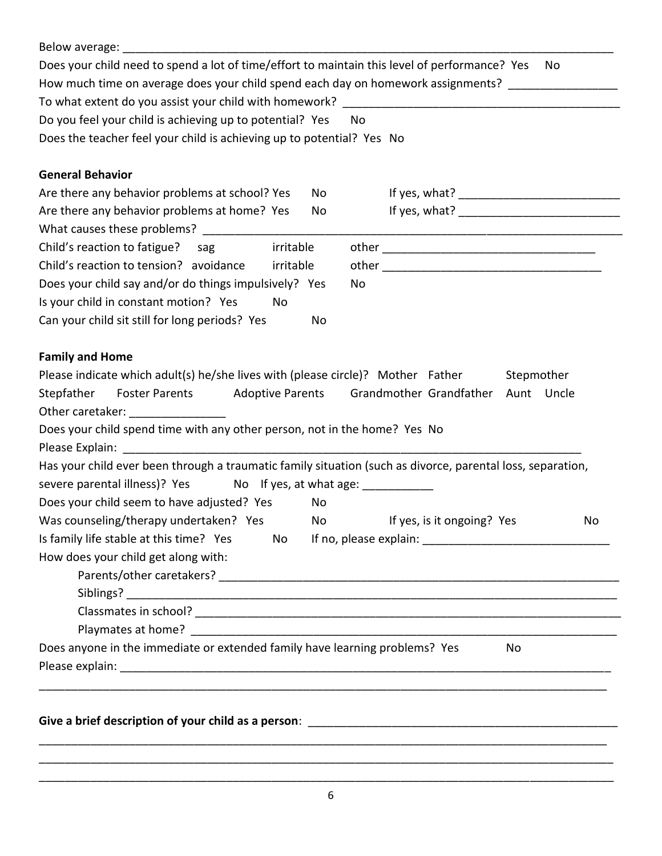| Does your child need to spend a lot of time/effort to maintain this level of performance? Yes              | No                                  |
|------------------------------------------------------------------------------------------------------------|-------------------------------------|
| How much time on average does your child spend each day on homework assignments? __________________        |                                     |
|                                                                                                            |                                     |
| Do you feel your child is achieving up to potential? Yes<br>No                                             |                                     |
| Does the teacher feel your child is achieving up to potential? Yes No                                      |                                     |
|                                                                                                            |                                     |
| <b>General Behavior</b><br>Are there any behavior problems at school? Yes<br>No                            |                                     |
| Are there any behavior problems at home? Yes<br>No                                                         |                                     |
|                                                                                                            |                                     |
| Child's reaction to fatigue? sag<br>irritable                                                              |                                     |
| Child's reaction to tension? avoidance<br>irritable                                                        |                                     |
| Does your child say and/or do things impulsively? Yes<br>No                                                |                                     |
| Is your child in constant motion? Yes<br>No                                                                |                                     |
| Can your child sit still for long periods? Yes<br>No                                                       |                                     |
|                                                                                                            |                                     |
| <b>Family and Home</b>                                                                                     |                                     |
| Please indicate which adult(s) he/she lives with (please circle)? Mother Father                            | Stepmother                          |
| Foster Parents Adoptive Parents Grandmother Grandfather<br>Stepfather                                      | Aunt Uncle                          |
| Other caretaker: ________________                                                                          |                                     |
| Does your child spend time with any other person, not in the home? Yes No                                  |                                     |
|                                                                                                            |                                     |
| Has your child ever been through a traumatic family situation (such as divorce, parental loss, separation, |                                     |
| severe parental illness)? Yes No If yes, at what age: ___________                                          |                                     |
| Does your child seem to have adjusted? Yes<br>No                                                           |                                     |
| Was counseling/therapy undertaken? Yes                                                                     | No If yes, is it ongoing? Yes<br>No |
| Is family life stable at this time? Yes<br>No l                                                            |                                     |
| How does your child get along with:                                                                        |                                     |
|                                                                                                            |                                     |
|                                                                                                            |                                     |
|                                                                                                            |                                     |
|                                                                                                            |                                     |
| Does anyone in the immediate or extended family have learning problems? Yes                                | No                                  |
|                                                                                                            |                                     |
|                                                                                                            |                                     |
|                                                                                                            |                                     |
|                                                                                                            |                                     |
|                                                                                                            |                                     |
|                                                                                                            |                                     |
|                                                                                                            |                                     |